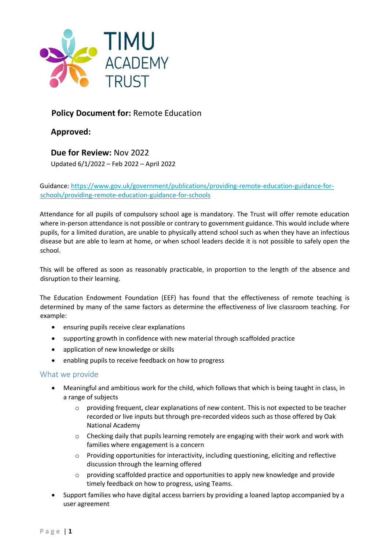

# **Policy Document for:** Remote Education

**Approved:** 

**Due for Review:** Nov 2022 Updated 6/1/2022 – Feb 2022 – April 2022

Guidance[: https://www.gov.uk/government/publications/providing-remote-education-guidance-for](https://www.gov.uk/government/publications/providing-remote-education-guidance-for-schools/providing-remote-education-guidance-for-schools)[schools/providing-remote-education-guidance-for-schools](https://www.gov.uk/government/publications/providing-remote-education-guidance-for-schools/providing-remote-education-guidance-for-schools)

Attendance for all pupils of compulsory school age is mandatory. The Trust will offer remote education where in-person attendance is not possible or contrary to government guidance. This would include where pupils, for a limited duration, are unable to physically attend school such as when they have an infectious disease but are able to learn at home, or when school leaders decide it is not possible to safely open the school.

This will be offered as soon as reasonably practicable, in proportion to the length of the absence and disruption to their learning.

The Education Endowment Foundation (EEF) has found that the effectiveness of remote teaching is determined by many of the same factors as determine the effectiveness of live classroom teaching. For example:

- ensuring pupils receive clear explanations
- supporting growth in confidence with new material through scaffolded practice
- application of new knowledge or skills
- enabling pupils to receive feedback on how to progress

#### What we provide

- Meaningful and ambitious work for the child, which follows that which is being taught in class, in a range of subjects
	- $\circ$  providing frequent, clear explanations of new content. This is not expected to be teacher recorded or live inputs but through pre-recorded videos such as those offered by Oak National Academy
	- $\circ$  Checking daily that pupils learning remotely are engaging with their work and work with families where engagement is a concern
	- $\circ$  Providing opportunities for interactivity, including questioning, eliciting and reflective discussion through the learning offered
	- $\circ$  providing scaffolded practice and opportunities to apply new knowledge and provide timely feedback on how to progress, using Teams.
- Support families who have digital access barriers by providing a loaned laptop accompanied by a user agreement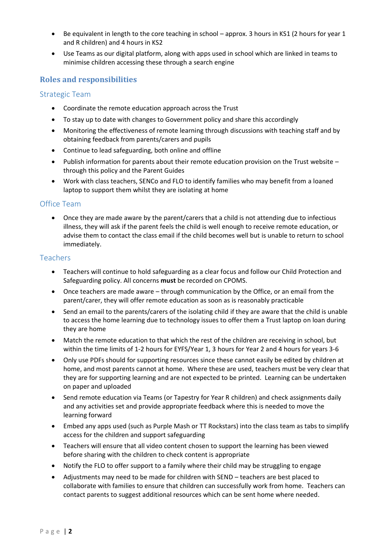- Be equivalent in length to the core teaching in school approx. 3 hours in KS1 (2 hours for year 1 and R children) and 4 hours in KS2
- Use Teams as our digital platform, along with apps used in school which are linked in teams to minimise children accessing these through a search engine

# **Roles and responsibilities**

#### Strategic Team

- Coordinate the remote education approach across the Trust
- To stay up to date with changes to Government policy and share this accordingly
- Monitoring the effectiveness of remote learning through discussions with teaching staff and by obtaining feedback from parents/carers and pupils
- Continue to lead safeguarding, both online and offline
- Publish information for parents about their remote education provision on the Trust website through this policy and the Parent Guides
- Work with class teachers, SENCo and FLO to identify families who may benefit from a loaned laptop to support them whilst they are isolating at home

#### Office Team

• Once they are made aware by the parent/carers that a child is not attending due to infectious illness, they will ask if the parent feels the child is well enough to receive remote education, or advise them to contact the class email if the child becomes well but is unable to return to school immediately.

### **Teachers**

- Teachers will continue to hold safeguarding as a clear focus and follow our Child Protection and Safeguarding policy. All concerns **must** be recorded on CPOMS.
- Once teachers are made aware through communication by the Office, or an email from the parent/carer, they will offer remote education as soon as is reasonably practicable
- Send an email to the parents/carers of the isolating child if they are aware that the child is unable to access the home learning due to technology issues to offer them a Trust laptop on loan during they are home
- Match the remote education to that which the rest of the children are receiving in school, but within the time limits of 1-2 hours for EYFS/Year 1, 3 hours for Year 2 and 4 hours for years 3-6
- Only use PDFs should for supporting resources since these cannot easily be edited by children at home, and most parents cannot at home. Where these are used, teachers must be very clear that they are for supporting learning and are not expected to be printed. Learning can be undertaken on paper and uploaded
- Send remote education via Teams (or Tapestry for Year R children) and check assignments daily and any activities set and provide appropriate feedback where this is needed to move the learning forward
- Embed any apps used (such as Purple Mash or TT Rockstars) into the class team as tabs to simplify access for the children and support safeguarding
- Teachers will ensure that all video content chosen to support the learning has been viewed before sharing with the children to check content is appropriate
- Notify the FLO to offer support to a family where their child may be struggling to engage
- Adjustments may need to be made for children with SEND teachers are best placed to collaborate with families to ensure that children can successfully work from home. Teachers can contact parents to suggest additional resources which can be sent home where needed.